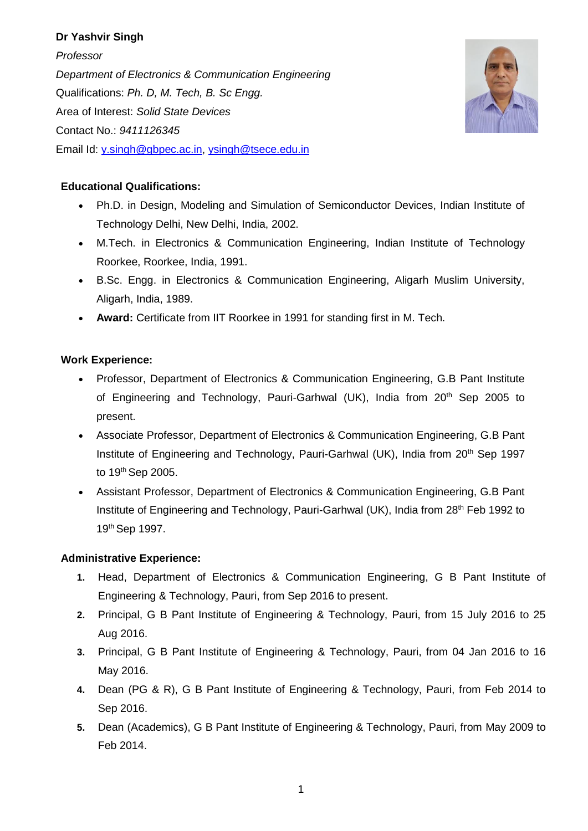# **Dr Yashvir Singh**

*Professor Department of Electronics & Communication Engineering* Qualifications: *Ph. D, M. Tech, B. Sc Engg.* Area of Interest: *Solid State Devices* Contact No.: *9411126345* Email Id: [y.singh@gbpec.ac.in,](mailto:y.singh@gbpec.ac.in) [ysingh@tsece.edu.in](mailto:ysingh@tsece.edu.in)



# **Educational Qualifications:**

- Ph.D. in Design, Modeling and Simulation of Semiconductor Devices, Indian Institute of Technology Delhi, New Delhi, India, 2002.
- M.Tech. in Electronics & Communication Engineering, Indian Institute of Technology Roorkee, Roorkee, India, 1991.
- B.Sc. Engg. in Electronics & Communication Engineering, Aligarh Muslim University, Aligarh, India, 1989.
- **Award:** Certificate from IIT Roorkee in 1991 for standing first in M. Tech.

## **Work Experience:**

- Professor, Department of Electronics & Communication Engineering, G.B Pant Institute of Engineering and Technology, Pauri-Garhwal (UK), India from 20<sup>th</sup> Sep 2005 to present.
- Associate Professor, Department of Electronics & Communication Engineering, G.B Pant Institute of Engineering and Technology, Pauri-Garhwal (UK), India from 20<sup>th</sup> Sep 1997 to 19<sup>th</sup> Sep 2005.
- Assistant Professor, Department of Electronics & Communication Engineering, G.B Pant Institute of Engineering and Technology, Pauri-Garhwal (UK), India from 28<sup>th</sup> Feb 1992 to 19th Sep 1997.

## **Administrative Experience:**

- **1.** Head, Department of Electronics & Communication Engineering, G B Pant Institute of Engineering & Technology, Pauri, from Sep 2016 to present.
- **2.** Principal, G B Pant Institute of Engineering & Technology, Pauri, from 15 July 2016 to 25 Aug 2016.
- **3.** Principal, G B Pant Institute of Engineering & Technology, Pauri, from 04 Jan 2016 to 16 May 2016.
- **4.** Dean (PG & R), G B Pant Institute of Engineering & Technology, Pauri, from Feb 2014 to Sep 2016.
- **5.** Dean (Academics), G B Pant Institute of Engineering & Technology, Pauri, from May 2009 to Feb 2014.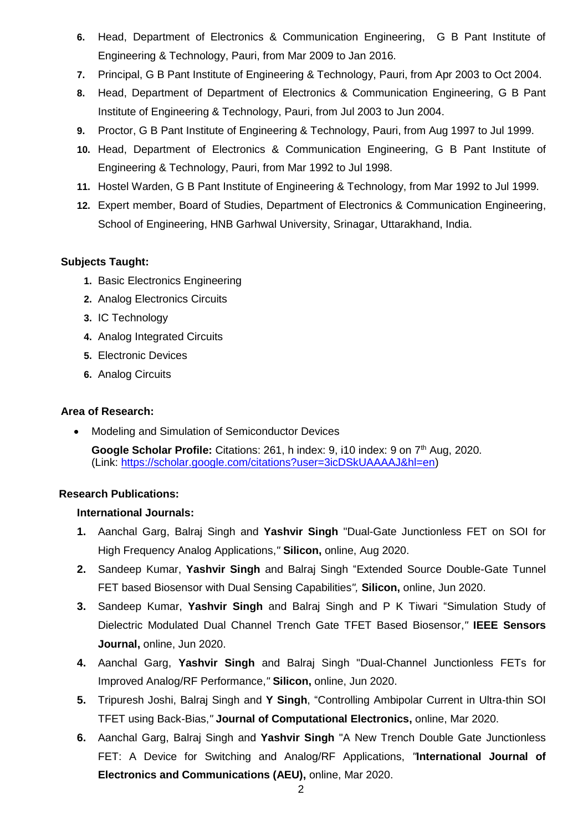- **6.** Head, Department of Electronics & Communication Engineering, G B Pant Institute of Engineering & Technology, Pauri, from Mar 2009 to Jan 2016.
- **7.** Principal, G B Pant Institute of Engineering & Technology, Pauri, from Apr 2003 to Oct 2004.
- **8.** Head, Department of Department of Electronics & Communication Engineering, G B Pant Institute of Engineering & Technology, Pauri, from Jul 2003 to Jun 2004.
- **9.** Proctor, G B Pant Institute of Engineering & Technology, Pauri, from Aug 1997 to Jul 1999.
- **10.** Head, Department of Electronics & Communication Engineering, G B Pant Institute of Engineering & Technology, Pauri, from Mar 1992 to Jul 1998.
- **11.** Hostel Warden, G B Pant Institute of Engineering & Technology, from Mar 1992 to Jul 1999.
- **12.** Expert member, Board of Studies, Department of Electronics & Communication Engineering, School of Engineering, HNB Garhwal University, Srinagar, Uttarakhand, India.

## **Subjects Taught:**

- **1.** Basic Electronics Engineering
- **2.** Analog Electronics Circuits
- **3.** IC Technology
- **4.** Analog Integrated Circuits
- **5.** Electronic Devices
- **6.** Analog Circuits

### **Area of Research:**

• Modeling and Simulation of Semiconductor Devices **Google Scholar Profile:** Citations: 261, h index: 9, i10 index: 9 on 7<sup>th</sup> Aug, 2020. (Link: [https://scholar.google.com/citations?user=3icDSkUAAAAJ&hl=en\)](https://scholar.google.com/citations?user=3icDSkUAAAAJ&hl=en)

### **Research Publications:**

### **International Journals:**

- **1.** Aanchal Garg, Balraj Singh and **Yashvir Singh** "Dual-Gate Junctionless FET on SOI for High Frequency Analog Applications,*"* **Silicon,** online, Aug 2020.
- **2.** Sandeep Kumar, **Yashvir Singh** and Balraj Singh "Extended Source Double-Gate Tunnel FET based Biosensor with Dual Sensing Capabilities*",* **Silicon,** online, Jun 2020.
- **3.** Sandeep Kumar, **Yashvir Singh** and Balraj Singh and P K Tiwari "Simulation Study of Dielectric Modulated Dual Channel Trench Gate TFET Based Biosensor,*"* **IEEE Sensors Journal,** online, Jun 2020.
- **4.** Aanchal Garg, **Yashvir Singh** and Balraj Singh "Dual-Channel Junctionless FETs for Improved Analog/RF Performance,*"* **Silicon,** online, Jun 2020.
- **5.** Tripuresh Joshi, Balraj Singh and **Y Singh**, "Controlling Ambipolar Current in Ultra-thin SOI TFET using Back-Bias,*"* **Journal of Computational Electronics,** online, Mar 2020.
- **6.** Aanchal Garg, Balraj Singh and **Yashvir Singh** "A New Trench Double Gate Junctionless FET: A Device for Switching and Analog/RF Applications, *"***International Journal of Electronics and Communications (AEU),** online, Mar 2020.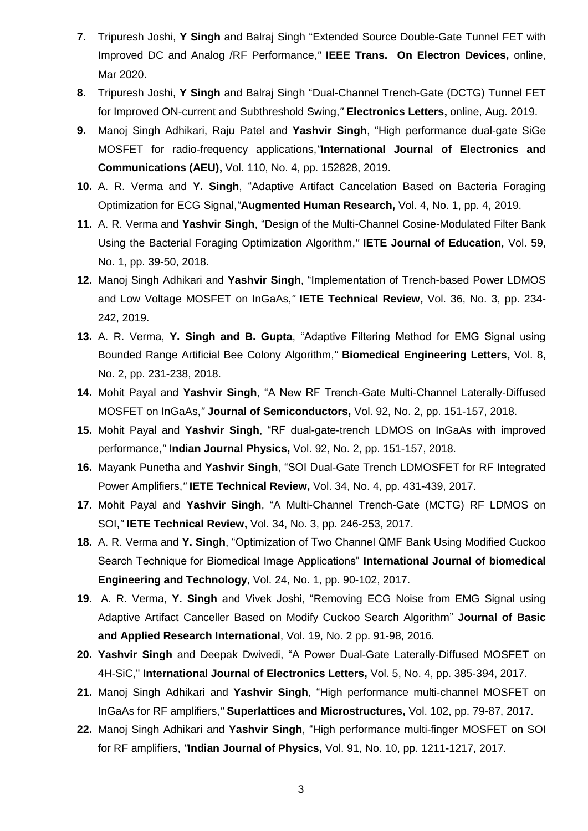- **7.** Tripuresh Joshi, **Y Singh** and Balraj Singh "Extended Source Double-Gate Tunnel FET with Improved DC and Analog /RF Performance,*"* **IEEE Trans. On Electron Devices,** online, Mar 2020.
- **8.** Tripuresh Joshi, **Y Singh** and Balraj Singh "Dual-Channel Trench-Gate (DCTG) Tunnel FET for Improved ON-current and Subthreshold Swing,*"* **Electronics Letters,** online, Aug. 2019.
- **9.** Manoj Singh Adhikari, Raju Patel and **Yashvir Singh**, "High performance dual-gate SiGe MOSFET for radio-frequency applications,*"***International Journal of Electronics and Communications (AEU),** Vol. 110, No. 4, pp. 152828, 2019.
- **10.** A. R. Verma and **Y. Singh**, "Adaptive Artifact Cancelation Based on Bacteria Foraging Optimization for ECG Signal,*"***Augmented Human Research,** Vol. 4, No. 1, pp. 4, 2019.
- **11.** A. R. Verma and **Yashvir Singh**, "Design of the Multi-Channel Cosine-Modulated Filter Bank Using the Bacterial Foraging Optimization Algorithm,*"* **IETE Journal of Education,** Vol. 59, No. 1, pp. 39-50, 2018.
- **12.** Manoj Singh Adhikari and **Yashvir Singh**, "Implementation of Trench-based Power LDMOS and Low Voltage MOSFET on InGaAs,*"* **IETE Technical Review,** Vol. 36, No. 3, pp. 234- 242, 2019.
- **13.** A. R. Verma, **Y. Singh and B. Gupta**, "Adaptive Filtering Method for EMG Signal using Bounded Range Artificial Bee Colony Algorithm,*"* **Biomedical Engineering Letters,** Vol. 8, No. 2, pp. 231-238, 2018.
- **14.** Mohit Payal and **Yashvir Singh**, "A New RF Trench-Gate Multi-Channel Laterally-Diffused MOSFET on InGaAs,*"* **Journal of Semiconductors,** Vol. 92, No. 2, pp. 151-157, 2018.
- **15.** Mohit Payal and **Yashvir Singh**, "RF dual-gate-trench LDMOS on InGaAs with improved performance,*"* **Indian Journal Physics,** Vol. 92, No. 2, pp. 151-157, 2018.
- **16.** Mayank Punetha and **Yashvir Singh**, "SOI Dual-Gate Trench LDMOSFET for RF Integrated Power Amplifiers,*"* **IETE Technical Review,** Vol. 34, No. 4, pp. 431-439, 2017.
- **17.** Mohit Payal and **Yashvir Singh**, "A Multi-Channel Trench-Gate (MCTG) RF LDMOS on SOI,*"* **IETE Technical Review,** Vol. 34, No. 3, pp. 246-253, 2017.
- **18.** A. R. Verma and **Y. Singh**, "Optimization of Two Channel QMF Bank Using Modified Cuckoo Search Technique for Biomedical Image Applications" **International Journal of biomedical Engineering and Technology**, Vol. 24, No. 1, pp. 90-102, 2017.
- **19.** A. R. Verma, **Y. Singh** and Vivek Joshi, "Removing ECG Noise from EMG Signal using Adaptive Artifact Canceller Based on Modify Cuckoo Search Algorithm" **Journal of Basic and Applied Research International**, Vol. 19, No. 2 pp. 91-98, 2016.
- **20. Yashvir Singh** and Deepak Dwivedi, "A Power Dual-Gate Laterally-Diffused MOSFET on 4H-SiC," **International Journal of Electronics Letters,** Vol. 5, No. 4, pp. 385-394, 2017.
- **21.** Manoj Singh Adhikari and **Yashvir Singh**, "High performance multi-channel MOSFET on InGaAs for RF amplifiers,*"* **Superlattices and Microstructures,** Vol. 102, pp. 79-87, 2017.
- **22.** Manoj Singh Adhikari and **Yashvir Singh**, "High performance multi-finger MOSFET on SOI for RF amplifiers, *"***Indian Journal of Physics,** Vol. 91, No. 10, pp. 1211-1217, 2017.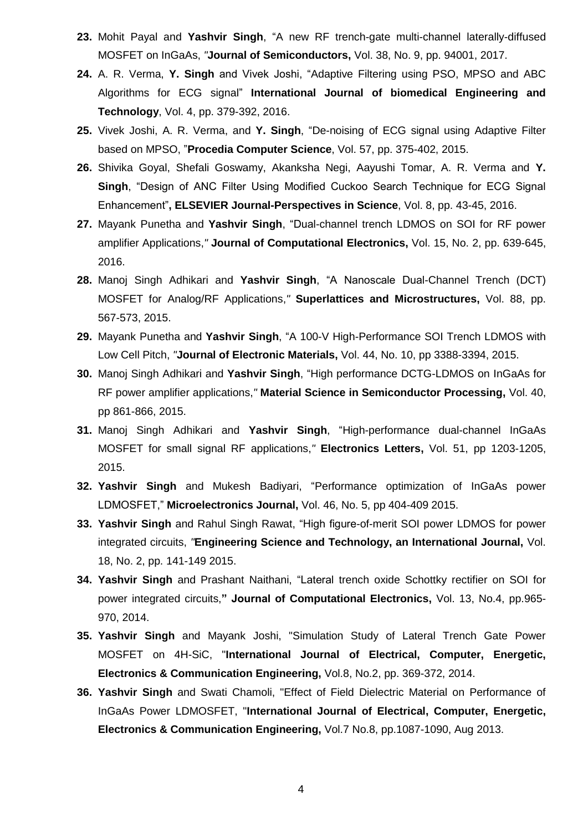- **23.** Mohit Payal and **Yashvir Singh**, "A new RF trench-gate multi-channel laterally-diffused MOSFET on InGaAs, *"***Journal of Semiconductors,** Vol. 38, No. 9, pp. 94001, 2017.
- **24.** A. R. Verma, **Y. Singh** and Vivek Joshi, "Adaptive Filtering using PSO, MPSO and ABC Algorithms for ECG signal" **International Journal of biomedical Engineering and Technology**, Vol. 4, pp. 379-392, 2016.
- **25.** Vivek Joshi, A. R. Verma, and **Y. Singh**, "De-noising of ECG signal using Adaptive Filter based on MPSO, "**Procedia Computer Science**, Vol. 57, pp. 375-402, 2015.
- **26.** Shivika Goyal, Shefali Goswamy, Akanksha Negi, Aayushi Tomar, A. R. Verma and **Y. Singh**, "Design of ANC Filter Using Modified Cuckoo Search Technique for ECG Signal Enhancement"**, ELSEVIER Journal-Perspectives in Science**, Vol. 8, pp. 43-45, 2016.
- **27.** Mayank Punetha and **Yashvir Singh**, "Dual-channel trench LDMOS on SOI for RF power amplifier Applications,*"* **Journal of Computational Electronics,** Vol. 15, No. 2, pp. 639-645, 2016.
- **28.** Manoj Singh Adhikari and **Yashvir Singh**, "A Nanoscale Dual-Channel Trench (DCT) MOSFET for Analog/RF Applications,*"* **Superlattices and Microstructures,** Vol. 88, pp. 567-573, 2015.
- **29.** Mayank Punetha and **Yashvir Singh**, "A 100-V High-Performance SOI Trench LDMOS with Low Cell Pitch, *"***Journal of Electronic Materials,** Vol. 44, No. 10, pp 3388-3394, 2015.
- **30.** Manoj Singh Adhikari and **Yashvir Singh**, "High performance DCTG-LDMOS on InGaAs for RF power amplifier applications,*"* **Material Science in Semiconductor Processing,** Vol. 40, pp 861-866, 2015.
- **31.** Manoj Singh Adhikari and **Yashvir Singh**, "High-performance dual-channel InGaAs MOSFET for small signal RF applications,*"* **Electronics Letters,** Vol. 51, pp 1203-1205, 2015.
- **32. Yashvir Singh** and Mukesh Badiyari, "Performance optimization of InGaAs power LDMOSFET," **Microelectronics Journal,** Vol. 46, No. 5, pp 404-409 2015.
- **33. Yashvir Singh** and Rahul Singh Rawat, "High figure-of-merit SOI power LDMOS for power integrated circuits, *"***Engineering Science and Technology, an International Journal,** Vol. 18, No. 2, pp. 141-149 2015.
- **34. Yashvir Singh** and Prashant Naithani, "Lateral trench oxide Schottky rectifier on SOI for power integrated circuits,**" Journal of Computational Electronics,** Vol. 13, No.4, pp.965- 970, 2014.
- **35. Yashvir Singh** and Mayank Joshi, "Simulation Study of Lateral Trench Gate Power MOSFET on 4H-SiC, "**International Journal of Electrical, Computer, Energetic, Electronics & Communication Engineering,** Vol.8, No.2, pp. 369-372, 2014.
- **36. Yashvir Singh** and Swati Chamoli, "Effect of Field Dielectric Material on Performance of InGaAs Power LDMOSFET, "**International Journal of Electrical, Computer, Energetic, Electronics & Communication Engineering,** Vol.7 No.8, pp.1087-1090, Aug 2013.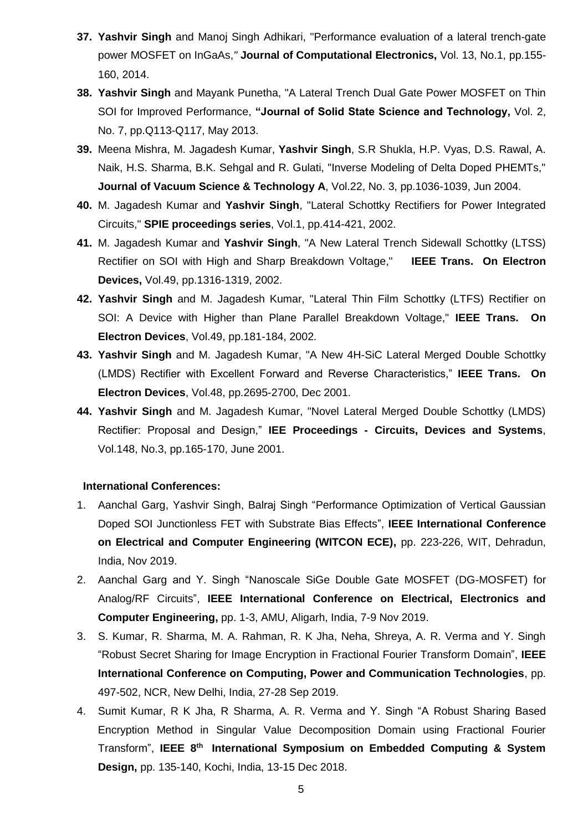- **37. Yashvir Singh** and Manoj Singh Adhikari, "Performance evaluation of a lateral trench-gate power MOSFET on InGaAs,*"* **Journal of Computational Electronics,** Vol. 13, No.1, pp.155- 160, 2014.
- **38. Yashvir Singh** and Mayank Punetha, "A Lateral Trench Dual Gate Power MOSFET on Thin SOI for Improved Performance, **"Journal of Solid State Science and Technology,** Vol. 2, No. 7, pp.Q113-Q117, May 2013.
- **39.** Meena Mishra, M. Jagadesh Kumar, **Yashvir Singh**, S.R Shukla, H.P. Vyas, D.S. Rawal, A. Naik, H.S. Sharma, B.K. Sehgal and R. Gulati, "Inverse Modeling of Delta Doped PHEMTs," **Journal of Vacuum Science & Technology A**, Vol.22, No. 3, pp.1036-1039, Jun 2004.
- **40.** M. Jagadesh Kumar and **Yashvir Singh**, "Lateral Schottky Rectifiers for Power Integrated Circuits," **SPIE proceedings series**, Vol.1, pp.414-421, 2002.
- **41.** M. Jagadesh Kumar and **Yashvir Singh**, "A New Lateral Trench Sidewall Schottky (LTSS) Rectifier on SOI with High and Sharp Breakdown Voltage," **IEEE Trans. On Electron Devices,** Vol.49, pp.1316-1319, 2002.
- **42. Yashvir Singh** and M. Jagadesh Kumar, "Lateral Thin Film Schottky (LTFS) Rectifier on SOI: A Device with Higher than Plane Parallel Breakdown Voltage," **IEEE Trans. On Electron Devices**, Vol.49, pp.181-184, 2002.
- **43. Yashvir Singh** and M. Jagadesh Kumar, "A New 4H-SiC Lateral Merged Double Schottky (LMDS) Rectifier with Excellent Forward and Reverse Characteristics," **IEEE Trans. On Electron Devices**, Vol.48, pp.2695-2700, Dec 2001.
- **44. Yashvir Singh** and M. Jagadesh Kumar, "Novel Lateral Merged Double Schottky (LMDS) Rectifier: Proposal and Design," **IEE Proceedings - Circuits, Devices and Systems**, Vol.148, No.3, pp.165-170, June 2001.

### **International Conferences:**

- 1. Aanchal Garg, Yashvir Singh, Balraj Singh "Performance Optimization of Vertical Gaussian Doped SOI Junctionless FET with Substrate Bias Effects", **IEEE International Conference on Electrical and Computer Engineering (WITCON ECE),** pp. 223-226, WIT, Dehradun, India, Nov 2019.
- 2. Aanchal Garg and Y. Singh ["Nanoscale SiGe Double Gate MOSFET \(DG-MOSFET\) for](javascript:void(0))  [Analog/RF Circuits"](javascript:void(0)), **IEEE International Conference on Electrical, Electronics and Computer Engineering,** pp. 1-3, AMU, Aligarh, India, 7-9 Nov 2019.
- 3. S. Kumar, R. Sharma, M. A. Rahman, R. K Jha, Neha, Shreya, A. R. Verma and Y. Singh ["Robust Secret Sharing for Image Encryption in Fractional Fourier Transform Domain"](https://scholar.google.com/scholar?oi=bibs&cluster=7783048343077801213&btnI=1&hl=en), **IEEE [International Conference on Computing, Power and Communication Technologies](https://ieeexplore.ieee.org/xpl/conhome/8933293/proceeding)**, pp. 497-502, NCR, New Delhi, India, 27-28 Sep 2019.
- 4. Sumit Kumar, R K Jha, R Sharma, A. R. Verma and Y. Singh "A Robust Sharing Based Encryption Method in Singular Value Decomposition Domain using Fractional Fourier Transform", **IEEE 8th International Symposium on Embedded Computing & System Design,** pp. 135-140, Kochi, India, 13-15 Dec 2018.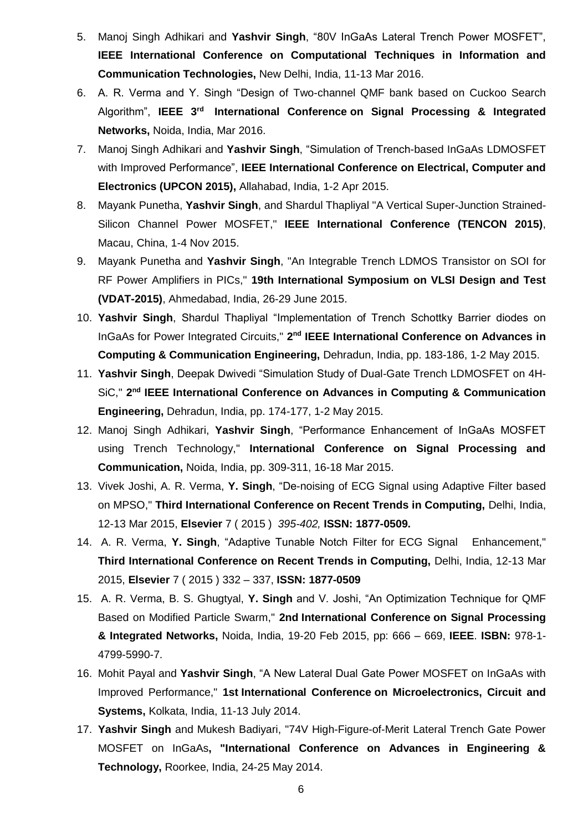- 5. Manoj Singh Adhikari and **Yashvir Singh**, "80V InGaAs Lateral Trench Power MOSFET", **IEEE International Conference on Computational Techniques in Information and Communication Technologies,** New Delhi, India, 11-13 Mar 2016.
- 6. A. R. Verma and Y. Singh "Design of Two-channel QMF bank based on Cuckoo Search Algorithm", **IEEE 3rd International Conference on Signal Processing & Integrated Networks,** Noida, India, Mar 2016.
- 7. Manoj Singh Adhikari and **Yashvir Singh**, "Simulation of Trench-based InGaAs LDMOSFET with Improved Performance", **IEEE International Conference on Electrical, Computer and Electronics (UPCON 2015),** Allahabad, India, 1-2 Apr 2015.
- 8. Mayank Punetha, **Yashvir Singh**, and Shardul Thapliyal "A Vertical Super-Junction Strained-Silicon Channel Power MOSFET," **IEEE International Conference (TENCON 2015)**, Macau, China, 1-4 Nov 2015.
- 9. Mayank Punetha and **Yashvir Singh**, "An Integrable Trench LDMOS Transistor on SOI for RF Power Amplifiers in PICs," **19th International Symposium on VLSI Design and Test (VDAT-2015)**, Ahmedabad, India, 26-29 June 2015.
- 10. **Yashvir Singh**, Shardul Thapliyal "Implementation of Trench Schottky Barrier diodes on InGaAs for Power Integrated Circuits," 2<sup>nd</sup> IEEE International Conference on Advances in **Computing & Communication Engineering,** Dehradun, India, pp. 183-186, 1-2 May 2015.
- 11. **Yashvir Singh**, Deepak Dwivedi "Simulation Study of Dual-Gate Trench LDMOSFET on 4H-SiC," 2<sup>nd</sup> IEEE International Conference on Advances in Computing & Communication **Engineering,** Dehradun, India, pp. 174-177, 1-2 May 2015.
- 12. Manoj Singh Adhikari, **Yashvir Singh**, "Performance Enhancement of InGaAs MOSFET using Trench Technology," **International Conference on Signal Processing and Communication,** Noida, India, pp. 309-311, 16-18 Mar 2015.
- 13. Vivek Joshi, A. R. Verma, **Y. Singh**, "De-noising of ECG Signal using Adaptive Filter based on MPSO," **Third International Conference on Recent Trends in Computing,** Delhi, India, 12-13 Mar 2015, **Elsevier** 7 ( 2015 ) *395-402,* **ISSN: 1877-0509.**
- 14. A. R. Verma, **Y. Singh**, "Adaptive Tunable Notch Filter for ECG Signal Enhancement," **Third International Conference on Recent Trends in Computing,** Delhi, India, 12-13 Mar 2015, **Elsevier** 7 ( 2015 ) 332 – 337, **ISSN: 1877-0509**
- 15. A. R. Verma, B. S. Ghugtyal, **Y. Singh** and V. Joshi, "An Optimization Technique for QMF Based on Modified Particle Swarm," **2nd International Conference on Signal Processing & Integrated Networks,** Noida, India, 19-20 Feb 2015, pp: 666 – 669, **IEEE**. **ISBN:** 978-1- 4799-5990-7.
- 16. Mohit Payal and **Yashvir Singh**, "A New Lateral Dual Gate Power MOSFET on InGaAs with Improved Performance," **1st International Conference on Microelectronics, Circuit and Systems,** Kolkata, India, 11-13 July 2014.
- 17. **Yashvir Singh** and Mukesh Badiyari, "74V High-Figure-of-Merit Lateral Trench Gate Power MOSFET on InGaAs**, "International Conference on Advances in Engineering & Technology,** Roorkee, India, 24-25 May 2014.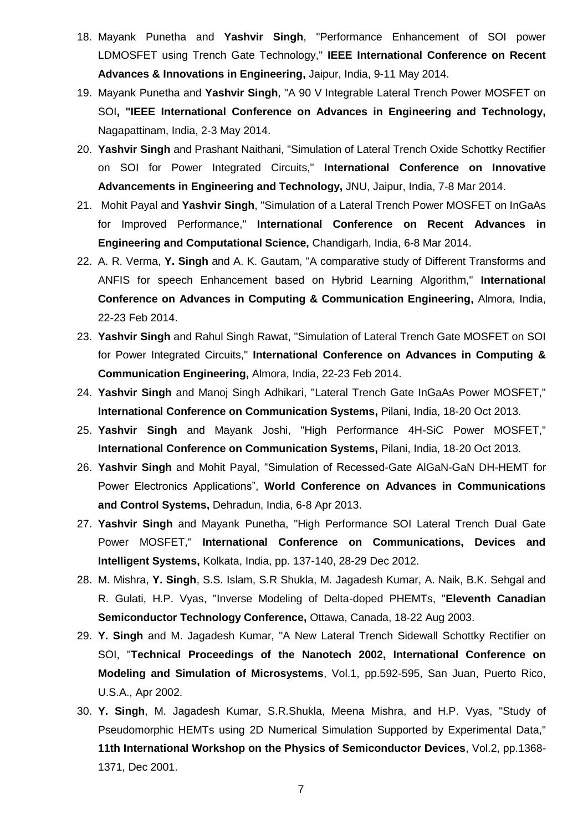- 18. Mayank Punetha and **Yashvir Singh**, "Performance Enhancement of SOI power LDMOSFET using Trench Gate Technology," **IEEE International Conference on Recent Advances & Innovations in Engineering,** Jaipur, India, 9-11 May 2014.
- 19. Mayank Punetha and **Yashvir Singh**, "A 90 V Integrable Lateral Trench Power MOSFET on SOI**, "IEEE International Conference on Advances in Engineering and Technology,** Nagapattinam, India, 2-3 May 2014.
- 20. **Yashvir Singh** and Prashant Naithani, "Simulation of Lateral Trench Oxide Schottky Rectifier on SOI for Power Integrated Circuits," **International Conference on Innovative Advancements in Engineering and Technology,** JNU, Jaipur, India, 7-8 Mar 2014.
- 21. Mohit Payal and **Yashvir Singh**, "Simulation of a Lateral Trench Power MOSFET on InGaAs for Improved Performance," **International Conference on Recent Advances in Engineering and Computational Science,** Chandigarh, India, 6-8 Mar 2014.
- 22. A. R. Verma, **Y. Singh** and A. K. Gautam, "A comparative study of Different Transforms and ANFIS for speech Enhancement based on Hybrid Learning Algorithm," **International Conference on Advances in Computing & Communication Engineering,** Almora, India, 22-23 Feb 2014.
- 23. **Yashvir Singh** and Rahul Singh Rawat, "Simulation of Lateral Trench Gate MOSFET on SOI for Power Integrated Circuits," **International Conference on Advances in Computing & Communication Engineering,** Almora, India, 22-23 Feb 2014.
- 24. **Yashvir Singh** and Manoj Singh Adhikari, "Lateral Trench Gate InGaAs Power MOSFET," **International Conference on Communication Systems,** Pilani, India, 18-20 Oct 2013.
- 25. **Yashvir Singh** and Mayank Joshi, "High Performance 4H-SiC Power MOSFET," **International Conference on Communication Systems,** Pilani, India, 18-20 Oct 2013.
- 26. **Yashvir Singh** and Mohit Payal, "Simulation of Recessed-Gate AlGaN-GaN DH-HEMT for Power Electronics Applications", **World Conference on Advances in Communications and Control Systems,** Dehradun, India, 6-8 Apr 2013.
- 27. **Yashvir Singh** and Mayank Punetha, "High Performance SOI Lateral Trench Dual Gate Power MOSFET," **International Conference on Communications, Devices and Intelligent Systems,** Kolkata, India, pp. 137-140, 28-29 Dec 2012.
- 28. M. Mishra, **Y. Singh**, S.S. Islam, S.R Shukla, M. Jagadesh Kumar, A. Naik, B.K. Sehgal and R. Gulati, H.P. Vyas, "Inverse Modeling of Delta-doped PHEMTs, "**Eleventh Canadian Semiconductor Technology Conference,** Ottawa, Canada, 18-22 Aug 2003.
- 29. **Y. Singh** and M. Jagadesh Kumar, "A New Lateral Trench Sidewall Schottky Rectifier on SOI, "**Technical Proceedings of the Nanotech 2002, International Conference on Modeling and Simulation of Microsystems**, Vol.1, pp.592-595, San Juan, Puerto Rico, U.S.A., Apr 2002.
- 30. **Y. Singh**, M. Jagadesh Kumar, S.R.Shukla, Meena Mishra, and H.P. Vyas, "Study of Pseudomorphic HEMTs using 2D Numerical Simulation Supported by Experimental Data," **11th International Workshop on the Physics of Semiconductor Devices**, Vol.2, pp.1368- 1371, Dec 2001.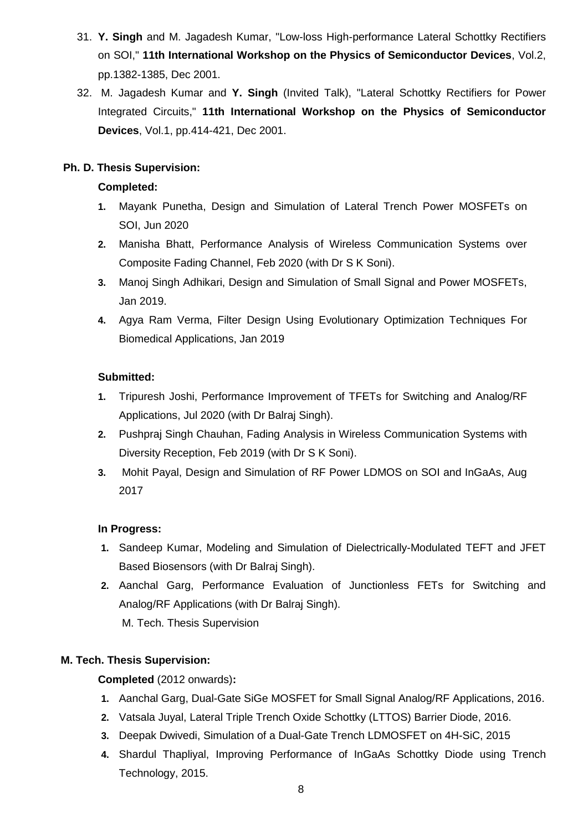- 31. **Y. Singh** and M. Jagadesh Kumar, "Low-loss High-performance Lateral Schottky Rectifiers on SOI," **11th International Workshop on the Physics of Semiconductor Devices**, Vol.2, pp.1382-1385, Dec 2001.
- 32. M. Jagadesh Kumar and **Y. Singh** (Invited Talk), "Lateral Schottky Rectifiers for Power Integrated Circuits," **11th International Workshop on the Physics of Semiconductor Devices**, Vol.1, pp.414-421, Dec 2001.

## **Ph. D. Thesis Supervision:**

## **Completed:**

- **1.** Mayank Punetha, Design and Simulation of Lateral Trench Power MOSFETs on SOI, Jun 2020
- **2.** Manisha Bhatt, Performance Analysis of Wireless Communication Systems over Composite Fading Channel, Feb 2020 (with Dr S K Soni).
- **3.** Manoj Singh Adhikari, Design and Simulation of Small Signal and Power MOSFETs, Jan 2019.
- **4.** Agya Ram Verma, Filter Design Using Evolutionary Optimization Techniques For Biomedical Applications, Jan 2019

### **Submitted:**

- **1.** Tripuresh Joshi, Performance Improvement of TFETs for Switching and Analog/RF Applications, Jul 2020 (with Dr Balraj Singh).
- **2.** Pushpraj Singh Chauhan, Fading Analysis in Wireless Communication Systems with Diversity Reception, Feb 2019 (with Dr S K Soni).
- **3.** Mohit Payal, Design and Simulation of RF Power LDMOS on SOI and InGaAs, Aug 2017

## **In Progress:**

- **1.** Sandeep Kumar, Modeling and Simulation of Dielectrically-Modulated TEFT and JFET Based Biosensors (with Dr Balraj Singh).
- **2.** Aanchal Garg, Performance Evaluation of Junctionless FETs for Switching and Analog/RF Applications (with Dr Balraj Singh). M. Tech. Thesis Supervision

## **M. Tech. Thesis Supervision:**

**Completed** (2012 onwards)**:**

- **1.** Aanchal Garg, Dual-Gate SiGe MOSFET for Small Signal Analog/RF Applications, 2016.
- **2.** Vatsala Juyal, Lateral Triple Trench Oxide Schottky (LTTOS) Barrier Diode, 2016.
- **3.** Deepak Dwivedi, Simulation of a Dual-Gate Trench LDMOSFET on 4H-SiC, 2015
- **4.** Shardul Thapliyal, Improving Performance of InGaAs Schottky Diode using Trench Technology, 2015.